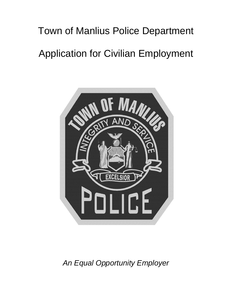# Town of Manlius Police Department Application for Civilian Employment



*An Equal Opportunity Employer*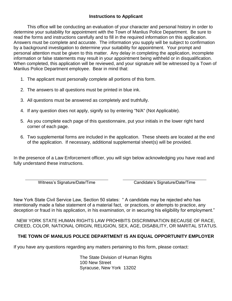## **Instructions to Applicant**

This office will be conducting an evaluation of your character and personal history in order to determine your suitability for appointment with the Town of Manlius Police Department. Be sure to read the forms and instructions carefully and to fill in the required information on this application. Answers must be complete and accurate. The information you supply will be subject to confirmation by a background investigation to determine your suitability for appointment. Your prompt and personal attention must be given to this matter. Any delay in completing the application, incomplete information or false statements may result in your appointment being withheld or in disqualification. When completed, this application will be reviewed, and your signature will be witnessed by a Town of Manlius Police Department employee. Bear in mind that:

- 1. The applicant must personally complete all portions of this form.
- 2. The answers to all questions must be printed in blue ink.
- 3. All questions must be answered as completely and truthfully.
- 4. If any question does not apply, signify so by entering "N/A" (Not Applicable).
- 5. As you complete each page of this questionnaire, put your initials in the lower right hand corner of each page.
- 6. Two supplemental forms are included in the application. These sheets are located at the end of the application. If necessary, additional supplemental sheet(s) will be provided.

In the presence of a Law Enforcement officer, you will sign below acknowledging you have read and fully understand these instructions.

Witness's Signature/Date/Time Candidate's Signature/Date/Time

New York State Civil Service Law, Section 50 states: " A candidate may be rejected who has intentionally made a false statement of a material fact, or practices, or attempts to practice, any deception or fraud in his application, in his examination, or in securing his eligibility for employment."

NEW YORK STATE HUMAN RIGHTS LAW PROHIBITS DISCRIMINATION BECAUSE OF RACE, CREED, COLOR, NATIONAL ORIGIN, RELIGION, SEX, AGE, DISABILITY, OR MARITAL STATUS.

# **THE TOWN OF MANLIUS POLICE DEPARTMENT IS AN EQUAL OPPORTUNITY EMPLOYER**

If you have any questions regarding any matters pertaining to this form, please contact:

The State Division of Human Rights 100 New Street Syracuse, New York 13202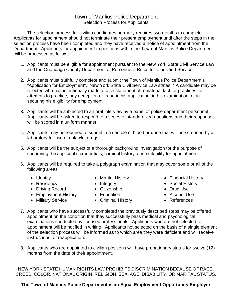# Town of Manlius Police Department Selection Process for Applicants

The selection process for civilian candidates normally requires two months to complete. Applicants for appointment should not terminate their present employment until after the steps in the selection process have been completed and they have received a notice of appointment from the Department. Applicants for appointment to positions within the Town of Manlius Police Department will be processed as follows:

- 1. Applicants must be eligible for appointment pursuant to the New York State Civil Service Law and the Onondaga County Department of Personnel's Rules for Classified Service.
- 2. Applicants must truthfully complete and submit the Town of Manlius Police Department's "Application for Employment". New York State Civil Service Law states, " A candidate may be rejected who has intentionally made a false statement of a material fact, or practices, or attempts to practice, any deception or fraud in his application, in his examination, or in securing his eligibility for employment."
- 3. Applicants will be subjected to an oral interview by a panel of police department personnel. Applicants will be asked to respond to a series of standardized questions and their responses will be scored in a uniform manner.
- 4. Applicants may be required to submit to a sample of blood or urine that will be screened by a laboratory for use of unlawful drugs.
- 5. Applicants will be the subject of a thorough background investigation for the purpose of confirming the applicant's credentials, criminal history, and suitability for appointment.
- 6. Applicants will be required to take a polygraph examination that may cover some or all of the following areas:
	-
	-
	- Driving Record Citizenship Drug Use
	- Employment History Education Alcohol Use
	-
- 
- 
- 
- 
- Military Service Criminal History • References
- Identity Marital History Financial History
- Residency Integrity Social History
	-
	-
	-
- 7. Applicants who have successfully completed the previously described steps may be offered appointment on the condition that they successfully pass medical and psychological examinations conducted by licensed professionals. Applicants who are not selected for appointment will be notified in writing. Applicants not selected on the basis of a single element of the selection process will be informed as to which area they were deficient and will receive instructions for reapplication.
- 8. Applicants who are appointed to civilian positions will have probationary status for twelve (12) months from the date of their appointment.

NEW YORK STATE HUMAN RIGHTS LAW PROHIBITS DISCRIMINATION BECAUSE OF RACE, CREED, COLOR, NATIONAL ORIGIN, RELIGION, SEX, AGE, DISABILITY, OR MARITAL STATUS.

# **The Town of Manlius Police Department is an Equal Employment Opportunity Employer**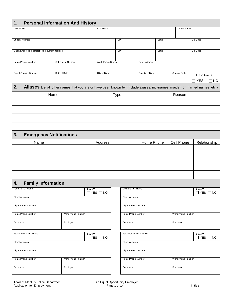# **1. Personal Information And History**

| . .<br>$\ldots$   |      |                      |       |  |                |                            |
|-------------------|------|----------------------|-------|--|----------------|----------------------------|
| <b>First Name</b> |      |                      |       |  |                |                            |
|                   |      |                      |       |  |                |                            |
|                   |      |                      |       |  |                |                            |
|                   | City |                      | State |  | Zip Code       |                            |
|                   |      |                      |       |  |                |                            |
|                   |      |                      |       |  |                |                            |
|                   | City |                      | State |  | Zip Code       |                            |
|                   |      |                      |       |  |                |                            |
|                   |      |                      |       |  |                |                            |
|                   |      | <b>Email Address</b> |       |  |                |                            |
|                   |      |                      |       |  |                |                            |
|                   |      |                      |       |  |                |                            |
| City of Birth     |      | County of Birth      |       |  |                |                            |
|                   |      |                      |       |  |                |                            |
|                   |      |                      |       |  | <b>YES</b>     | NO.                        |
|                   |      | Work Phone Number    |       |  | State of Birth | Middle Name<br>US Citizen? |

#### **2. Aliases** List all other names that you are or have been known by (Include aliases, nicknames, maiden or married names, etc.)

| Name | $T$ ype | Reason |
|------|---------|--------|
|      |         |        |
|      |         |        |
|      |         |        |
|      |         |        |
|      |         |        |

# **3. Emergency Notifications**

| Name | Address | Home Phone | Cell Phone | Relationship |
|------|---------|------------|------------|--------------|
|      |         |            |            |              |
|      |         |            |            |              |
|      |         |            |            |              |
|      |         |            |            |              |
|      |         |            |            |              |

#### **4. Family Information**

| Father's Full Name      | Alive?            | $\Box$ YES $\Box$ NO | Mother's Full Name      |                   | Alive?<br>$\Box$ YES $\Box$ NO |
|-------------------------|-------------------|----------------------|-------------------------|-------------------|--------------------------------|
| <b>Street Address</b>   |                   |                      | <b>Street Address</b>   |                   |                                |
| City / State / Zip Code |                   |                      | City / State / Zip Code |                   |                                |
| Home Phone Number       | Work Phone Number |                      | Home Phone Number       | Work Phone Number |                                |
| Occupation              | Employer          |                      | Occupation              | Employer          |                                |
| Step-Father's Full Name | Alive?            | $\Box$ YES $\Box$ NO | Step-Mother's Full Name |                   | Alive?<br>$\Box$ YES $\Box$ NO |
| <b>Street Address</b>   |                   |                      | <b>Street Address</b>   |                   |                                |
| City / State / Zip Code |                   |                      | City / State / Zip Code |                   |                                |
| Home Phone Number       | Work Phone Number |                      | Home Phone Number       | Work Phone Number |                                |
| Occupation              | Employer          |                      | Occupation              | Employer          |                                |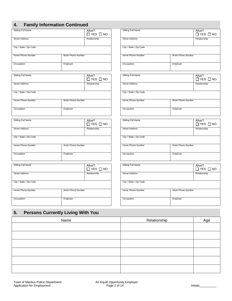|  |  |  | <b>Family Information Continued</b> |  |
|--|--|--|-------------------------------------|--|
|--|--|--|-------------------------------------|--|

| 4.                      | <b>Family Information Continued</b> |                                |                         |                   |                                |
|-------------------------|-------------------------------------|--------------------------------|-------------------------|-------------------|--------------------------------|
| Sibling Full Name       |                                     | Alive?<br>$\Box$ YES $\Box$ NO | Sibling Full Name       |                   | Alive?<br>$\Box$ YES $\Box$ NO |
| <b>Street Address</b>   |                                     | Relationship                   | <b>Street Address</b>   |                   | Relationship                   |
| City / State / Zip Code |                                     |                                | City / State / Zip Code |                   |                                |
| Home Phone Number       | Work Phone Number                   |                                | Home Phone Number       | Work Phone Number |                                |
| Occupation              | Employer                            |                                | Occupation              | Employer          |                                |
| Sibling Full Name       |                                     | Alive?<br>$\Box$ YES $\Box$ NO | Sibling Full Name       |                   | Alive?<br>$\Box$ YES $\Box$ NO |
| <b>Street Address</b>   |                                     | Relationship                   | <b>Street Address</b>   |                   | Relationship                   |
| City / State / Zip Code |                                     |                                | City / State / Zip Code |                   |                                |
| Home Phone Number       | Work Phone Number                   |                                | Home Phone Number       | Work Phone Number |                                |
| Occupation              | Employer                            |                                | Occupation              | Employer          |                                |
| Sibling Full Name       |                                     | Alive?<br>$\Box$ YES $\Box$ NO | Sibling Full Name       |                   | Alive?<br>$\Box$ YES $\Box$ NO |
| <b>Street Address</b>   |                                     | Relationship                   | <b>Street Address</b>   |                   | Relationship                   |
| City / State / Zip Code |                                     |                                | City / State / Zip Code |                   |                                |
| Home Phone Number       | Work Phone Number                   |                                | Home Phone Number       | Work Phone Number |                                |
| Occupation              | Employer                            |                                | Occupation              | Employer          |                                |
| Sibling Full Name       |                                     | Alive?<br>$\Box$ YES $\Box$ NO | Sibling Full Name       |                   | Alive?<br>$\Box$ YES $\Box$ NO |
| <b>Street Address</b>   |                                     | Relationship                   | <b>Street Address</b>   |                   | Relationship                   |
| City / State / Zip Code |                                     |                                | City / State / Zip Code |                   |                                |
| Home Phone Number       | Work Phone Number                   |                                | Home Phone Number       | Work Phone Number |                                |
| Occupation              | Employer                            |                                | Occupation              | Employer          |                                |

# **5. Persons Currently Living With You**

| Name | Relationship | Age |
|------|--------------|-----|
|      |              |     |
|      |              |     |
|      |              |     |
|      |              |     |
|      |              |     |
|      |              |     |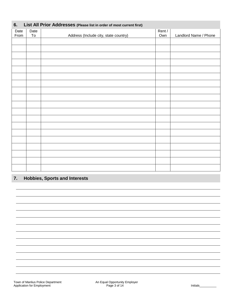| List All Prior Addresses (Please list in order of most current first)<br>6. |      |                                       |        |                       |  |
|-----------------------------------------------------------------------------|------|---------------------------------------|--------|-----------------------|--|
| Date                                                                        | Date |                                       | Rent / |                       |  |
| From                                                                        | To   | Address (Include city, state country) | Own    | Landlord Name / Phone |  |
|                                                                             |      |                                       |        |                       |  |
|                                                                             |      |                                       |        |                       |  |
|                                                                             |      |                                       |        |                       |  |
|                                                                             |      |                                       |        |                       |  |
|                                                                             |      |                                       |        |                       |  |
|                                                                             |      |                                       |        |                       |  |
|                                                                             |      |                                       |        |                       |  |
|                                                                             |      |                                       |        |                       |  |
|                                                                             |      |                                       |        |                       |  |
|                                                                             |      |                                       |        |                       |  |
|                                                                             |      |                                       |        |                       |  |
|                                                                             |      |                                       |        |                       |  |
|                                                                             |      |                                       |        |                       |  |
|                                                                             |      |                                       |        |                       |  |
|                                                                             |      |                                       |        |                       |  |
|                                                                             |      |                                       |        |                       |  |
|                                                                             |      |                                       |        |                       |  |
|                                                                             |      |                                       |        |                       |  |
|                                                                             |      |                                       |        |                       |  |
|                                                                             |      |                                       |        |                       |  |

# **7. Hobbies, Sports and Interests**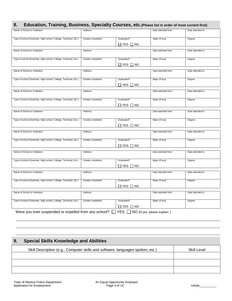# **8. Education, Training, Business, Specialty Courses, etc.(Please list in order of most current first)**

| Name of School or Institution                                                                        | Address          |                            | Date attended from | Date attended to |
|------------------------------------------------------------------------------------------------------|------------------|----------------------------|--------------------|------------------|
| Type of school (Grammar, High school, College, Technical, Etc.)                                      | Grades completed | Graduated?                 | Major (If any)     | Degree           |
|                                                                                                      |                  | $\Box$ YES $\Box$ NO       |                    |                  |
| Name of School or Institution                                                                        | Address          |                            | Date attended from | Date attended to |
|                                                                                                      |                  |                            |                    |                  |
| Type of school (Grammar, High school, College, Technical, Etc.)                                      | Grades completed | Graduated?                 | Major (If any)     | Degree           |
|                                                                                                      |                  | $\square$ Yes $\square$ No |                    |                  |
| Name of School or Institution                                                                        | Address          |                            | Date attended from | Date attended to |
|                                                                                                      |                  |                            |                    |                  |
| Type of school (Grammar, High school, College, Technical, Etc.)                                      | Grades completed | Graduated?                 | Major (If any)     | Degree           |
|                                                                                                      |                  | $\square$ Yes $\square$ No |                    |                  |
| Name of School or Institution                                                                        | Address          |                            | Date attended from | Date attended to |
|                                                                                                      |                  |                            |                    |                  |
| Type of school (Grammar, High school, College, Technical, Etc.)                                      | Grades completed | Graduated?                 | Major (If any)     | Degree           |
|                                                                                                      |                  | $\Box$ YES $\Box$ NO       |                    |                  |
|                                                                                                      |                  |                            |                    |                  |
| Name of School or Institution                                                                        | Address          |                            | Date attended from | Date attended to |
| Type of school (Grammar, High school, College, Technical, Etc.)                                      | Grades completed | Graduated?                 | Major (If any)     | Degree           |
|                                                                                                      |                  | $\Box$ YES $\Box$ NO       |                    |                  |
| Name of School or Institution                                                                        | Address          |                            | Date attended from | Date attended to |
|                                                                                                      |                  |                            |                    |                  |
| Type of school (Grammar, High school, College, Technical, Etc.)                                      | Grades completed | Graduated?                 | Major (If any)     | Degree           |
|                                                                                                      |                  | $\Box$ YES $\Box$ NO       |                    |                  |
| Name of School or Institution                                                                        | Address          |                            | Date attended from | Date attended to |
|                                                                                                      |                  |                            |                    |                  |
| Type of school (Grammar, High school, College, Technical, Etc.)                                      | Grades completed | Graduated?                 | Major (If any)     | Degree           |
|                                                                                                      |                  | $\Box$ YES $\Box$ NO       |                    |                  |
|                                                                                                      |                  |                            |                    |                  |
| Name of School or Institution                                                                        | Address          |                            | Date attended from | Date attended to |
| Type of school (Grammar, High school, College, Technical, Etc.)                                      | Grades completed | Graduated?                 | Major (If any)     | Degree           |
|                                                                                                      |                  | $\square$ yes $\square$ no |                    |                  |
| Name of School or Institution                                                                        | Address          |                            | Date attended from | Date attended to |
|                                                                                                      |                  |                            |                    |                  |
| Type of school (Grammar, High school, College, Technical, Etc.)                                      | Grades completed | Graduated?                 | Major (If any)     | Degree           |
|                                                                                                      |                  | $\Box$ YES $\Box$ NO       |                    |                  |
| Were you ever suspended or expelled from any school? $\Box$ YES $\Box$ NO (If yes, please explain: ) |                  |                            |                    |                  |
|                                                                                                      |                  |                            |                    |                  |

# **9. Special Skills Knowledge and Abilities**  Skill Description (e.g., Computer skills and software, languages spoken, etc.) Skill Level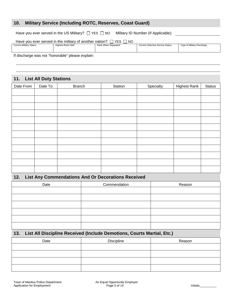#### **10. Military Service (Including ROTC, Reserves, Coast Guard)**

Have you ever served in the US Military?  $\Box$  YES  $\Box$  NO Military ID Number (If Applicable):

| Have you ever served in the military of another nation?<br><b>YES</b><br>-NO |                   |                     |                                         |                            |  |
|------------------------------------------------------------------------------|-------------------|---------------------|-----------------------------------------|----------------------------|--|
| <b>Current Military Status</b>                                               | Highest Rank Held | Rank When Separated | <b>Current Selective Service Status</b> | Type of Military Discharge |  |
|                                                                              |                   |                     |                                         |                            |  |
|                                                                              |                   |                     |                                         |                            |  |
|                                                                              |                   |                     |                                         |                            |  |
|                                                                              | __________        |                     |                                         |                            |  |

If discharge was not "honorable" please explain:

#### **11. List All Duty Stations**

| Date From | Date To | <b>Branch</b> | Station | Specialty | <b>Highest Rank</b> | <b>Status</b> |
|-----------|---------|---------------|---------|-----------|---------------------|---------------|
|           |         |               |         |           |                     |               |
|           |         |               |         |           |                     |               |
|           |         |               |         |           |                     |               |
|           |         |               |         |           |                     |               |
|           |         |               |         |           |                     |               |
|           |         |               |         |           |                     |               |
|           |         |               |         |           |                     |               |
|           |         |               |         |           |                     |               |
|           |         |               |         |           |                     |               |
|           |         |               |         |           |                     |               |
|           |         |               |         |           |                     |               |
|           |         |               |         |           |                     |               |

#### **12. List Any Commendations And Or Decorations Received**

| Date | Commendation | Reason |
|------|--------------|--------|
|      |              |        |
|      |              |        |
|      |              |        |
|      |              |        |
|      |              |        |
|      |              |        |

#### **13. List All Discipline Received (Include Demotions, Courts Martial, Etc.)**

| Date | <b>Discipline</b> | Reason |
|------|-------------------|--------|
|      |                   |        |
|      |                   |        |
|      |                   |        |
|      |                   |        |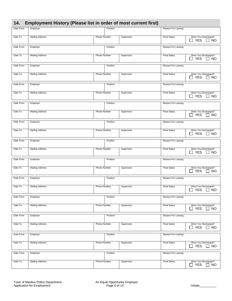|  |  | 14. Employment History (Please list in order of most current first) |  |
|--|--|---------------------------------------------------------------------|--|
|--|--|---------------------------------------------------------------------|--|

| Date From | Employer               |                     | Position |            | Reason For Leaving  |                                                                             |
|-----------|------------------------|---------------------|----------|------------|---------------------|-----------------------------------------------------------------------------|
|           |                        |                     |          |            |                     |                                                                             |
| Date To   | <b>Mailing Address</b> | <b>Phone Number</b> |          | Supervisor | <b>Final Salary</b> | Were You Discharged?<br>$\Box$ YES<br>$\Box$ NO                             |
| Date From | Employer               |                     | Position |            | Reason For Leaving  |                                                                             |
| Date To   | <b>Mailing Address</b> | Phone Number        |          | Supervisor | <b>Final Salary</b> | Were You Discharged?<br>$\Box$ YES<br>$\Box$ NO                             |
| Date From | Employer               |                     | Position |            | Reason For Leaving  |                                                                             |
| Date To   | <b>Mailing Address</b> | Phone Number        |          | Supervisor | <b>Final Salary</b> | Were You Discharged?<br>$\Box$ YES<br>$\Box$ NO                             |
| Date From | Employer               |                     | Position |            | Reason For Leaving  |                                                                             |
| Date To   | <b>Mailing Address</b> | Phone Number        |          | Supervisor | <b>Final Salary</b> | Were You Discharged?<br>$\Box$ YES<br>$\Box$ NO                             |
| Date From | Employer               |                     | Position |            | Reason For Leaving  |                                                                             |
| Date To   | <b>Mailing Address</b> | Phone Number        |          | Supervisor | <b>Final Salary</b> | Were You Discharged?<br>$\Box$ YES<br>] NO                                  |
| Date From | Employer               |                     | Position |            | Reason For Leaving  |                                                                             |
| Date To   | <b>Mailing Address</b> | <b>Phone Number</b> |          | Supervisor | <b>Final Salary</b> | Were You Discharged?<br>$\Box$ YES<br>$\Box$ NO                             |
| Date From | Employer               |                     | Position |            | Reason For Leaving  |                                                                             |
| Date To   | <b>Mailing Address</b> | Phone Number        |          | Supervisor | <b>Final Salary</b> | Were You Discharged?<br><b>YES</b><br>$\overline{\phantom{a}}$<br>$\Box$ NO |
| Date From | Employer               |                     | Position |            | Reason For Leaving  |                                                                             |
| Date To   | <b>Mailing Address</b> | Phone Number        |          | Supervisor | <b>Final Salary</b> | Were You Discharged?<br>$\Box$ YES<br>$\Box$ NO                             |
| Date From | Employer               |                     | Position |            | Reason For Leaving  |                                                                             |
| Date To   | <b>Mailing Address</b> | Phone Number        |          | Supervisor | <b>Final Salary</b> | Were You Discharged?<br>$\Box$ YES<br>$\Box$ NO                             |
| Date From | Employer               |                     | Position |            | Reason For Leaving  |                                                                             |
| Date To   | <b>Mailing Address</b> | Phone Number        |          | Supervisor | <b>Final Salary</b> | Were You Discharged?<br>$\Box$ YES<br>$\Box$ NO                             |
| Date From | Employer               |                     | Position |            | Reason For Leaving  |                                                                             |
| Date To   | <b>Mailing Address</b> | Phone Number        |          | Supervisor | <b>Final Salary</b> | Were You Discharged?<br><b>YES</b><br>$\Box$ NO<br>$\blacksquare$           |
| Date From | Employer               |                     | Position |            | Reason For Leaving  |                                                                             |
| Date To   | <b>Mailing Address</b> | Phone Number        |          | Supervisor | <b>Final Salary</b> | Were You Discharged?<br><b>YES</b><br><b>NO</b><br>$\perp$                  |
| Date From | Employer               |                     | Position |            | Reason For Leaving  |                                                                             |
| Date To   | <b>Mailing Address</b> | Phone Number        |          | Supervisor | <b>Final Salary</b> | Were You Discharged?<br><b>YES</b><br><b>NO</b><br>$\blacksquare$           |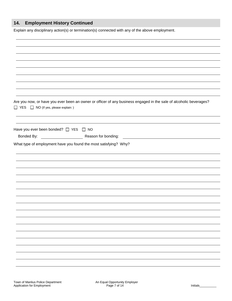# **14. Employment History Continued**

Explain any disciplinary action(s) or termination(s) connected with any of the above employment.

| □ YES □ NO (If yes, please explain: )           | Are you now, or have you ever been an owner or officer of any business engaged in the sale of alcoholic beverages?                          |
|-------------------------------------------------|---------------------------------------------------------------------------------------------------------------------------------------------|
| Have you ever been bonded? $\Box$ YES $\Box$ NO |                                                                                                                                             |
| Bonded By:                                      | Reason for bonding:<br><u> 1970 - Andrea State Barbara, política e a contra de la contra de la contra de la contra de la contra de la c</u> |
|                                                 |                                                                                                                                             |
|                                                 |                                                                                                                                             |
|                                                 |                                                                                                                                             |
|                                                 |                                                                                                                                             |
|                                                 |                                                                                                                                             |
|                                                 |                                                                                                                                             |
|                                                 |                                                                                                                                             |
|                                                 |                                                                                                                                             |
|                                                 |                                                                                                                                             |
|                                                 |                                                                                                                                             |
|                                                 |                                                                                                                                             |
|                                                 |                                                                                                                                             |
|                                                 |                                                                                                                                             |
|                                                 |                                                                                                                                             |
|                                                 |                                                                                                                                             |
|                                                 |                                                                                                                                             |
|                                                 |                                                                                                                                             |
|                                                 |                                                                                                                                             |
|                                                 |                                                                                                                                             |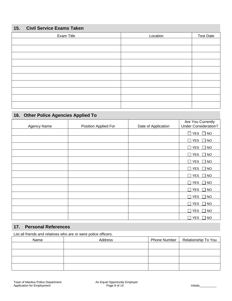# **15. Civil Service Exams Taken**

| Exam Title | Location | <b>Test Date</b> |
|------------|----------|------------------|
|            |          |                  |
|            |          |                  |
|            |          |                  |
|            |          |                  |
|            |          |                  |
|            |          |                  |
|            |          |                  |
|            |          |                  |
|            |          |                  |
|            |          |                  |

# **16. Other Police Agencies Applied To**

| Agency Name | Position Applied For | Date of Application | Are You Currently<br><b>Under Consideration?</b> |
|-------------|----------------------|---------------------|--------------------------------------------------|
|             |                      |                     | $\Box$ YES $\Box$ NO                             |
|             |                      |                     | $\Box$ YES $\Box$ NO                             |
|             |                      |                     | $\Box$ YES<br>$\Box$ NO                          |
|             |                      |                     | $\Box$ YES<br>$\Box$ NO                          |
|             |                      |                     | $\Box$ YES<br>$\Box$ NO                          |
|             |                      |                     | $\Box$ YES<br>$\square$ NO                       |
|             |                      |                     | $\Box$ YES $\Box$ NO                             |
|             |                      |                     | $\Box$ YES $\Box$ NO                             |
|             |                      |                     | $\Box$ YES<br>$\square$ NO                       |
|             |                      |                     | $\Box$ YES<br>$\Box$ NO                          |
|             |                      |                     | <b>YES</b><br>$\Box$<br>$\Box$ NO                |
|             |                      |                     | $\Box$ YES<br>$\Box$ NO                          |
|             |                      |                     | $\square$ YES<br>$\Box$ NO                       |

# **17. Personal References**

List all friends and relatives who are or were police officers.

| Name | Address | Phone Number   Relationship To You |
|------|---------|------------------------------------|
|      |         |                                    |
|      |         |                                    |
|      |         |                                    |
|      |         |                                    |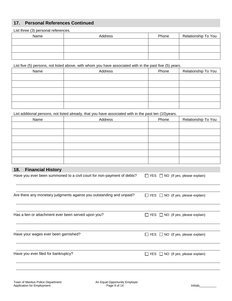## **17. Personal References Continued**

List three (3) personal references. Name  $\begin{array}{|c|c|c|c|c|c|}\n\hline\n\end{array}$  Address  $\begin{array}{|c|c|c|c|c|c|}\n\hline\n\end{array}$  Phone Relationship To You

List five (5) persons, not listed above, with whom you have associated with in the past five (5) years.

| Name | Address | Phone | Relationship To You |
|------|---------|-------|---------------------|
|      |         |       |                     |
|      |         |       |                     |
|      |         |       |                     |
|      |         |       |                     |
|      |         |       |                     |

List additional persons, not listed already, that you have associated with in the past ten (10)years.

| Name | Address | Phone | Relationship To You |
|------|---------|-------|---------------------|
|      |         |       |                     |
|      |         |       |                     |
|      |         |       |                     |
|      |         |       |                     |
|      |         |       |                     |
|      |         |       |                     |

#### **18. Financial History**

| 18.<br><b>Financial History</b>                                        |                                               |
|------------------------------------------------------------------------|-----------------------------------------------|
| Have you ever been summoned to a civil court for non-payment of debts? | $\Box$ YES $\Box$ NO (If yes, please explain) |
|                                                                        |                                               |
| Are there any monetary judgments against you outstanding and unpaid?   | $\Box$ YES $\Box$ NO (If yes, please explain) |
|                                                                        |                                               |
| Has a lien or attachment ever been served upon you?                    | $\Box$ YES $\Box$ NO (If yes, please explain) |
|                                                                        |                                               |
| Have your wages ever been garnished?                                   | $\Box$ YES $\Box$ NO (If yes, please explain) |
|                                                                        |                                               |
| Have you ever filed for bankruptcy?                                    | $\Box$ YES $\Box$ NO (If yes, please explain) |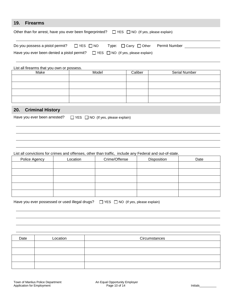#### **19. Firearms**

| Other than for arrest, have you ever been fingerprinted? $\Box$ YES $\Box$ NO (If yes, please explain) |  |                                               |  |  |
|--------------------------------------------------------------------------------------------------------|--|-----------------------------------------------|--|--|
| Do you possess a pistol permit? $\Box$ YES $\Box$ NO                                                   |  | $Type: \Box$ Carry $\Box$ Other Permit Number |  |  |
| Have you ever been denied a pistol permit? $\Box$ YES $\Box$ NO (If yes, please explain)               |  |                                               |  |  |

| List all firearms that you own or possess. |       |         |               |  |
|--------------------------------------------|-------|---------|---------------|--|
| Make                                       | Model | Caliber | Serial Number |  |
|                                            |       |         |               |  |
|                                            |       |         |               |  |
|                                            |       |         |               |  |
|                                            |       |         |               |  |

# **20. Criminal History**

| Have you ever been arrested? | $\Box$ YES $\Box$ NO (If yes, please explain) |  |  |  |
|------------------------------|-----------------------------------------------|--|--|--|
|                              |                                               |  |  |  |

#### List all convictions for crimes and offenses, other than traffic, include any Federal and out-of-state.

| Police Agency | Location | Crime/Offense | Disposition | Date |
|---------------|----------|---------------|-------------|------|
|               |          |               |             |      |
|               |          |               |             |      |
|               |          |               |             |      |
|               |          |               |             |      |
|               |          |               |             |      |

| Have you ever possessed or used illegal drugs? □ YES □ NO (If yes, please explain) |  |  |  |  |
|------------------------------------------------------------------------------------|--|--|--|--|
|------------------------------------------------------------------------------------|--|--|--|--|

| Date | Location | Circumstances |
|------|----------|---------------|
|      |          |               |
|      |          |               |
|      |          |               |
|      |          |               |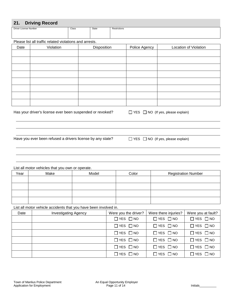#### **21. Driving Record**

| _____<br>- -          |       |       |              |
|-----------------------|-------|-------|--------------|
| Driver License Number | Class | State | Restrictions |
|                       |       |       |              |
|                       |       |       |              |
|                       |       |       |              |

Please list all traffic related violations and arrests.

| Date | Violation | Disposition | Police Agency | Location of Violation |
|------|-----------|-------------|---------------|-----------------------|
|      |           |             |               |                       |
|      |           |             |               |                       |
|      |           |             |               |                       |
|      |           |             |               |                       |
|      |           |             |               |                       |
|      |           |             |               |                       |
|      |           |             |               |                       |
|      |           |             |               |                       |

Has your driver's license ever been suspended or revoked?  $\Box$  YES  $\Box$  NO (If yes, please explain)

Have you ever been refused a drivers license by any state?  $\Box$  YES  $\Box$  NO (If yes, please explain)

List all motor vehicles that you own or operate.

| Year | Make | Model | Color | <b>Registration Number</b> |
|------|------|-------|-------|----------------------------|
|      |      |       |       |                            |
|      |      |       |       |                            |
|      |      |       |       |                            |
|      |      |       |       |                            |
|      |      |       |       |                            |

List all motor vehicle accidents that you have been involved in.

| Date | <b>Investigating Agency</b> | Were you the driver? | Were there injuries? | Were you at fault?   |
|------|-----------------------------|----------------------|----------------------|----------------------|
|      |                             | $\Box$ YES $\Box$ NO | $\Box$ YES $\Box$ NO | $\Box$ YES $\Box$ NO |
|      |                             | $\Box$ YES $\Box$ NO | $\Box$ YES $\Box$ NO | $\Box$ YES $\Box$ NO |
|      |                             | $\Box$ YES $\Box$ NO | $\Box$ YES $\Box$ NO | $\Box$ YES $\Box$ NO |
|      |                             | $\Box$ YES $\Box$ NO | $\Box$ YES $\Box$ NO | $\Box$ YES $\Box$ NO |
|      |                             | $\Box$ YES $\Box$ NO | $\Box$ YES $\Box$ NO | $\Box$ YES $\Box$ NO |
|      |                             | $\Box$ YES $\Box$ NO | $\Box$ YES $\Box$ NO | $\Box$ YES $\Box$ NO |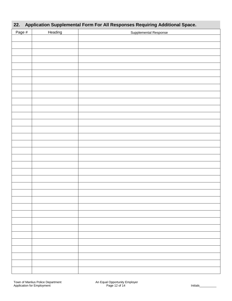| 22.<br>Application Supplemental Form For All Responses Requiring Additional Space. |         |                       |  |  |  |  |
|------------------------------------------------------------------------------------|---------|-----------------------|--|--|--|--|
| Page #                                                                             | Heading | Supplemental Response |  |  |  |  |
|                                                                                    |         |                       |  |  |  |  |
|                                                                                    |         |                       |  |  |  |  |
|                                                                                    |         |                       |  |  |  |  |
|                                                                                    |         |                       |  |  |  |  |
|                                                                                    |         |                       |  |  |  |  |
|                                                                                    |         |                       |  |  |  |  |
|                                                                                    |         |                       |  |  |  |  |
|                                                                                    |         |                       |  |  |  |  |
|                                                                                    |         |                       |  |  |  |  |
|                                                                                    |         |                       |  |  |  |  |
|                                                                                    |         |                       |  |  |  |  |
|                                                                                    |         |                       |  |  |  |  |
|                                                                                    |         |                       |  |  |  |  |
|                                                                                    |         |                       |  |  |  |  |
|                                                                                    |         |                       |  |  |  |  |
|                                                                                    |         |                       |  |  |  |  |
|                                                                                    |         |                       |  |  |  |  |
|                                                                                    |         |                       |  |  |  |  |
|                                                                                    |         |                       |  |  |  |  |
|                                                                                    |         |                       |  |  |  |  |
|                                                                                    |         |                       |  |  |  |  |
|                                                                                    |         |                       |  |  |  |  |
|                                                                                    |         |                       |  |  |  |  |
|                                                                                    |         |                       |  |  |  |  |
|                                                                                    |         |                       |  |  |  |  |
|                                                                                    |         |                       |  |  |  |  |
|                                                                                    |         |                       |  |  |  |  |
|                                                                                    |         |                       |  |  |  |  |
|                                                                                    |         |                       |  |  |  |  |
|                                                                                    |         |                       |  |  |  |  |
|                                                                                    |         |                       |  |  |  |  |
|                                                                                    |         |                       |  |  |  |  |
|                                                                                    |         |                       |  |  |  |  |
|                                                                                    |         |                       |  |  |  |  |
|                                                                                    |         |                       |  |  |  |  |
|                                                                                    |         |                       |  |  |  |  |
|                                                                                    |         |                       |  |  |  |  |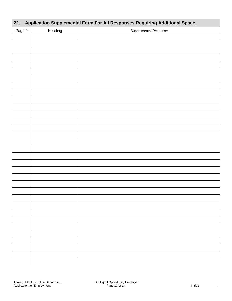# **22. Application Supplemental Form For All Responses Requiring Additional Space.**

| Page # | Heading | Supplemental Response |
|--------|---------|-----------------------|
|        |         |                       |
|        |         |                       |
|        |         |                       |
|        |         |                       |
|        |         |                       |
|        |         |                       |
|        |         |                       |
|        |         |                       |
|        |         |                       |
|        |         |                       |
|        |         |                       |
|        |         |                       |
|        |         |                       |
|        |         |                       |
|        |         |                       |
|        |         |                       |
|        |         |                       |
|        |         |                       |
|        |         |                       |
|        |         |                       |
|        |         |                       |
|        |         |                       |
|        |         |                       |
|        |         |                       |
|        |         |                       |
|        |         |                       |
|        |         |                       |
|        |         |                       |
|        |         |                       |
|        |         |                       |
|        |         |                       |
|        |         |                       |
|        |         |                       |